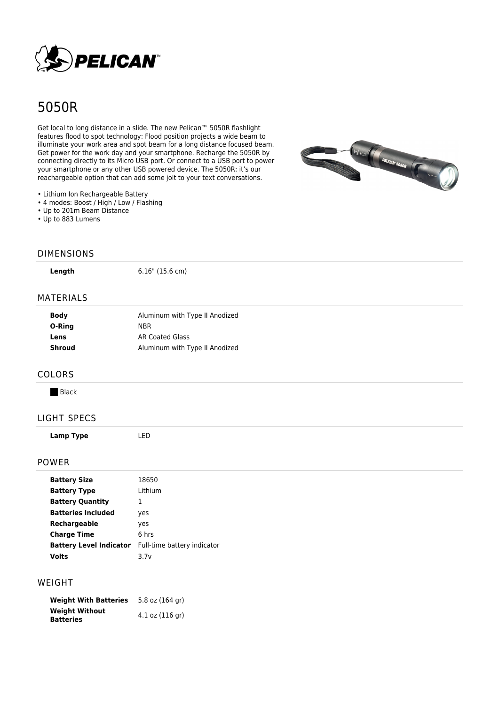

# 5050R

Get local to long distance in a slide. The new Pelican™ 5050R flashlight features flood to spot technology: Flood position projects a wide beam to illuminate your work area and spot beam for a long distance focused beam. Get power for the work day and your smartphone. Recharge the 5050R by connecting directly to its Micro USB port. Or connect to a USB port to power your smartphone or any other USB powered device. The 5050R: it's our reachargeable option that can add some jolt to your text conversations.



- Lithium Ion Rechargeable Battery
- 4 modes: Boost / High / Low / Flashing
- Up to 201m Beam Distance
- Up to 883 Lumens

#### DIMENSIONS

**Length** 6.16" (15.6 cm)

### MATERIALS

| Aluminum with Type II Anodized |
|--------------------------------|
| <b>NBR</b>                     |
| AR Coated Glass                |
| Aluminum with Type II Anodized |
|                                |

#### COLORS

**Black** 

## LIGHT SPECS

**Lamp Type** LED

## POWER

| <b>Battery Size</b>            | 18650                       |
|--------------------------------|-----------------------------|
| <b>Battery Type</b>            | Lithium                     |
| <b>Battery Quantity</b>        | T                           |
| <b>Batteries Included</b>      | yes                         |
| Rechargeable                   | yes                         |
| <b>Charge Time</b>             | 6 hrs                       |
| <b>Battery Level Indicator</b> | Full-time battery indicator |
| <b>Volts</b>                   | 3.7v                        |

## WEIGHT

| <b>Weight With Batteries</b>              | 5.8 oz (164 gr)     |
|-------------------------------------------|---------------------|
| <b>Weight Without</b><br><b>Batteries</b> | $4.1$ oz $(116$ gr) |